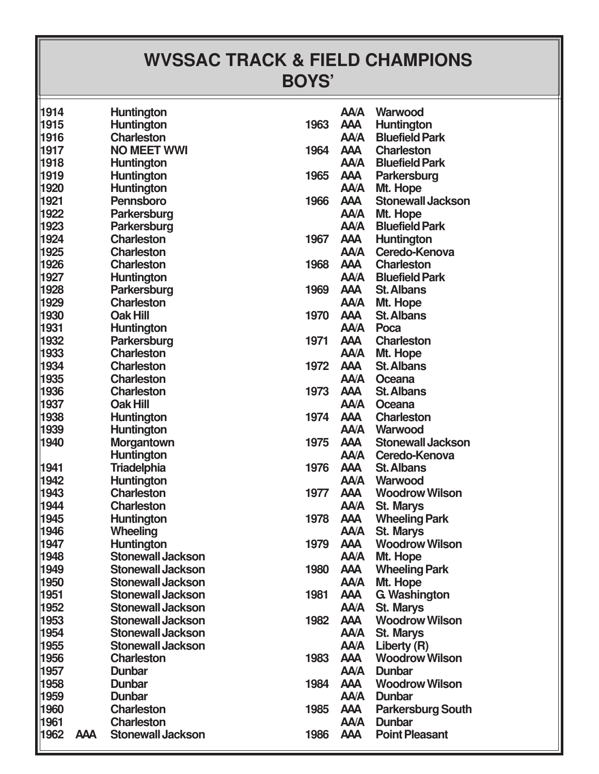## **WVSSAC TRACK & FIELD CHAMPIONS BOYS'**

| 1914 |            | <b>Huntington</b>        |      | <b>AA/A</b> | Warwood                    |
|------|------------|--------------------------|------|-------------|----------------------------|
| 1915 |            | Huntington               | 1963 | <b>AAA</b>  | Huntington                 |
| 1916 |            | <b>Charleston</b>        |      | <b>AA/A</b> | <b>Bluefield Park</b>      |
| 1917 |            | <b>NO MEET WWI</b>       | 1964 | <b>AAA</b>  | <b>Charleston</b>          |
| 1918 |            | <b>Huntington</b>        |      |             | <b>AA/A</b> Bluefield Park |
| 1919 |            | <b>Huntington</b>        | 1965 | <b>AAA</b>  | Parkersburg                |
| 1920 |            | <b>Huntington</b>        |      | <b>AA/A</b> | Mt. Hope                   |
| 1921 |            | <b>Pennsboro</b>         | 1966 | <b>AAA</b>  | <b>Stonewall Jackson</b>   |
| 1922 |            | <b>Parkersburg</b>       |      | <b>AA/A</b> | Mt. Hope                   |
| 1923 |            | Parkersburg              |      | <b>AA/A</b> | <b>Bluefield Park</b>      |
| 1924 |            | <b>Charleston</b>        | 1967 | <b>AAA</b>  | Huntington                 |
| 1925 |            | <b>Charleston</b>        |      | <b>AA/A</b> | Ceredo-Kenova              |
| 1926 |            | <b>Charleston</b>        | 1968 | <b>AAA</b>  | <b>Charleston</b>          |
| 1927 |            | <b>Huntington</b>        |      | <b>AA/A</b> | <b>Bluefield Park</b>      |
| 1928 |            | Parkersburg              | 1969 | <b>AAA</b>  | <b>St. Albans</b>          |
| 1929 |            | <b>Charleston</b>        |      | <b>AA/A</b> | Mt. Hope                   |
| 1930 |            | <b>Oak Hill</b>          | 1970 | <b>AAA</b>  | <b>St. Albans</b>          |
| 1931 |            | <b>Huntington</b>        |      | <b>AA/A</b> | Poca                       |
| 1932 |            | Parkersburg              | 1971 | <b>AAA</b>  | <b>Charleston</b>          |
| 1933 |            | <b>Charleston</b>        |      | <b>AA/A</b> | Mt. Hope                   |
| 1934 |            | <b>Charleston</b>        | 1972 | <b>AAA</b>  | <b>St. Albans</b>          |
| 1935 |            | <b>Charleston</b>        |      | <b>AA/A</b> | Oceana                     |
| 1936 |            | <b>Charleston</b>        | 1973 | <b>AAA</b>  | <b>St. Albans</b>          |
| 1937 |            | <b>Oak Hill</b>          |      | <b>AA/A</b> | Oceana                     |
| 1938 |            | <b>Huntington</b>        | 1974 | <b>AAA</b>  | <b>Charleston</b>          |
| 1939 |            | <b>Huntington</b>        |      | <b>AA/A</b> | Warwood                    |
| 1940 |            | <b>Morgantown</b>        | 1975 | <b>AAA</b>  | <b>Stonewall Jackson</b>   |
|      |            | <b>Huntington</b>        |      | <b>AA/A</b> | Ceredo-Kenova              |
| 1941 |            | <b>Triadelphia</b>       | 1976 | <b>AAA</b>  | <b>St. Albans</b>          |
| 1942 |            | Huntington               |      | <b>AA/A</b> | Warwood                    |
| 1943 |            | <b>Charleston</b>        | 1977 | <b>AAA</b>  | <b>Woodrow Wilson</b>      |
| 1944 |            | <b>Charleston</b>        |      | <b>AA/A</b> | <b>St. Marys</b>           |
| 1945 |            | <b>Huntington</b>        | 1978 | <b>AAA</b>  | <b>Wheeling Park</b>       |
| 1946 |            | Wheeling                 |      | <b>AA/A</b> | <b>St. Marys</b>           |
| 1947 |            | Huntington               | 1979 | <b>AAA</b>  | <b>Woodrow Wilson</b>      |
| 1948 |            | <b>Stonewall Jackson</b> |      | <b>AA/A</b> | Mt. Hope                   |
| 1949 |            | <b>Stonewall Jackson</b> | 1980 | <b>AAA</b>  | <b>Wheeling Park</b>       |
| 1950 |            | <b>Stonewall Jackson</b> |      | <b>AAA</b>  | Mt. Hope                   |
| 1951 |            | <b>Stonewall Jackson</b> | 1981 | <b>AAA</b>  | <b>G. Washington</b>       |
| 1952 |            | <b>Stonewall Jackson</b> |      | <b>AAA</b>  | <b>St. Marys</b>           |
| 1953 |            | <b>Stonewall Jackson</b> | 1982 | <b>AAA</b>  | <b>Woodrow Wilson</b>      |
| 1954 |            | <b>Stonewall Jackson</b> |      | <b>AA/A</b> | <b>St. Marys</b>           |
| 1955 |            | <b>Stonewall Jackson</b> |      | <b>AA/A</b> | Liberty (R)                |
| 1956 |            | <b>Charleston</b>        | 1983 | <b>AAA</b>  | <b>Woodrow Wilson</b>      |
| 1957 |            | <b>Dunbar</b>            |      | <b>AA/A</b> | <b>Dunbar</b>              |
| 1958 |            | <b>Dunbar</b>            | 1984 | <b>AAA</b>  | <b>Woodrow Wilson</b>      |
| 1959 |            | <b>Dunbar</b>            |      | <b>AA/A</b> | <b>Dunbar</b>              |
| 1960 |            | <b>Charleston</b>        | 1985 | <b>AAA</b>  | <b>Parkersburg South</b>   |
| 1961 |            | <b>Charleston</b>        |      | <b>AA/A</b> | <b>Dunbar</b>              |
| 1962 | <b>AAA</b> | <b>Stonewall Jackson</b> | 1986 | <b>AAA</b>  | <b>Point Pleasant</b>      |